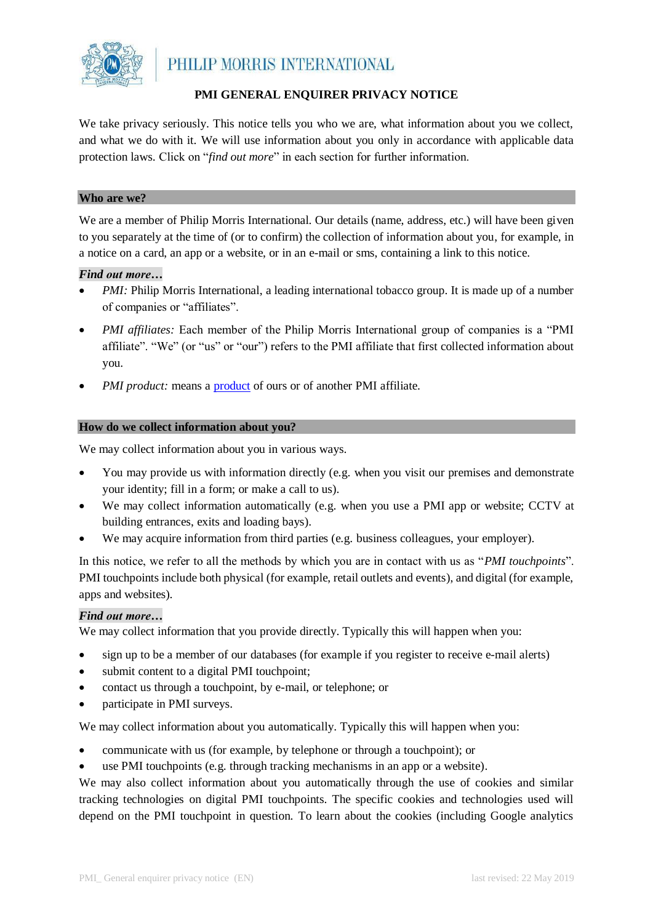

# **PMI GENERAL ENQUIRER PRIVACY NOTICE**

We take privacy seriously. This notice tells you who we are, what information about you we collect, and what we do with it. We will use information about you only in accordance with applicable data protection laws. Click on "*find out more*" in each section for further information.

## **Who are we?**

We are a member of Philip Morris International. Our details (name, address, etc.) will have been given to you separately at the time of (or to confirm) the collection of information about you, for example, in a notice on a card, an app or a website, or in an e-mail or sms, containing a link to this notice.

## *Find out more…*

- *PMI*: Philip Morris International, a leading international tobacco group. It is made up of a number of companies or "affiliates".
- *PMI affiliates:* Each member of the Philip Morris International group of companies is a "PMI affiliate". "We" (or "us" or "our") refers to the PMI affiliate that first collected information about you.
- *PMI [product](https://www.pmi.com/consumer-corner):* means a **product** of ours or of another PMI affiliate.

#### **How do we collect information about you?**

We may collect information about you in various ways.

- You may provide us with information directly (e.g. when you visit our premises and demonstrate your identity; fill in a form; or make a call to us).
- We may collect information automatically (e.g. when you use a PMI app or website; CCTV at building entrances, exits and loading bays).
- We may acquire information from third parties (e.g. business colleagues, your employer).

In this notice, we refer to all the methods by which you are in contact with us as "*PMI touchpoints*". PMI touchpoints include both physical (for example, retail outlets and events), and digital (for example, apps and websites).

## *Find out more…*

We may collect information that you provide directly. Typically this will happen when you:

- sign up to be a member of our databases (for example if you register to receive e-mail alerts)
- submit content to a digital PMI touchpoint;
- contact us through a touchpoint, by e-mail, or telephone; or
- participate in PMI surveys.

We may collect information about you automatically. Typically this will happen when you:

- communicate with us (for example, by telephone or through a touchpoint); or
- use PMI touchpoints (e.g. through tracking mechanisms in an app or a website).

We may also collect information about you automatically through the use of cookies and similar tracking technologies on digital PMI touchpoints. The specific cookies and technologies used will depend on the PMI touchpoint in question. To learn about the cookies (including Google analytics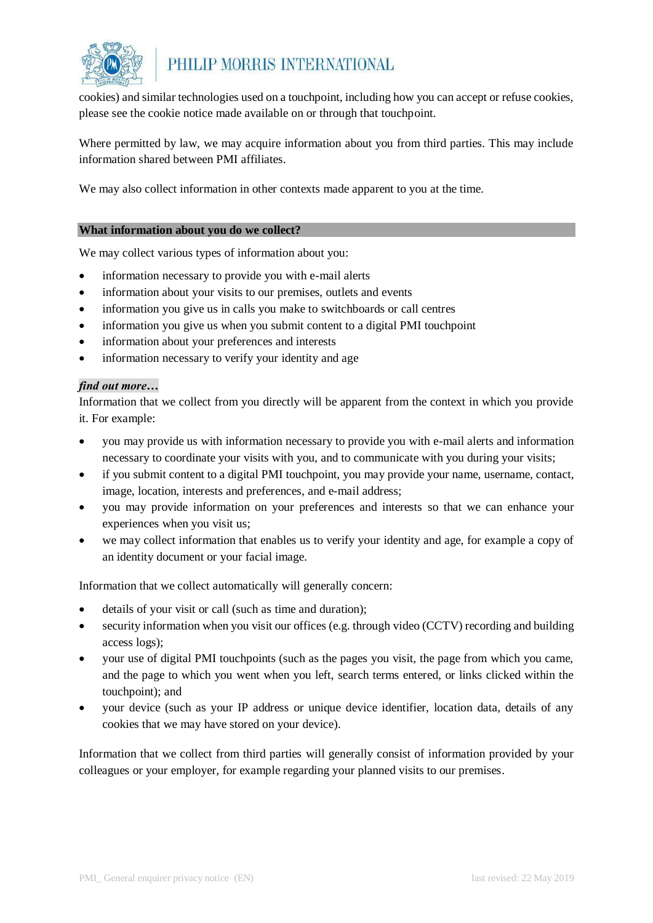

cookies) and similar technologies used on a touchpoint, including how you can accept or refuse cookies, please see the cookie notice made available on or through that touchpoint.

Where permitted by law, we may acquire information about you from third parties. This may include information shared between PMI affiliates.

We may also collect information in other contexts made apparent to you at the time.

## **What information about you do we collect?**

We may collect various types of information about you:

- information necessary to provide you with e-mail alerts
- information about your visits to our premises, outlets and events
- information you give us in calls you make to switchboards or call centres
- information you give us when you submit content to a digital PMI touchpoint
- information about your preferences and interests
- information necessary to verify your identity and age

## *find out more…*

Information that we collect from you directly will be apparent from the context in which you provide it. For example:

- you may provide us with information necessary to provide you with e-mail alerts and information necessary to coordinate your visits with you, and to communicate with you during your visits;
- if you submit content to a digital PMI touchpoint, you may provide your name, username, contact, image, location, interests and preferences, and e-mail address;
- you may provide information on your preferences and interests so that we can enhance your experiences when you visit us;
- we may collect information that enables us to verify your identity and age, for example a copy of an identity document or your facial image.

Information that we collect automatically will generally concern:

- details of your visit or call (such as time and duration);
- security information when you visit our offices (e.g. through video (CCTV) recording and building access logs);
- your use of digital PMI touchpoints (such as the pages you visit, the page from which you came, and the page to which you went when you left, search terms entered, or links clicked within the touchpoint); and
- your device (such as your IP address or unique device identifier, location data, details of any cookies that we may have stored on your device).

Information that we collect from third parties will generally consist of information provided by your colleagues or your employer, for example regarding your planned visits to our premises.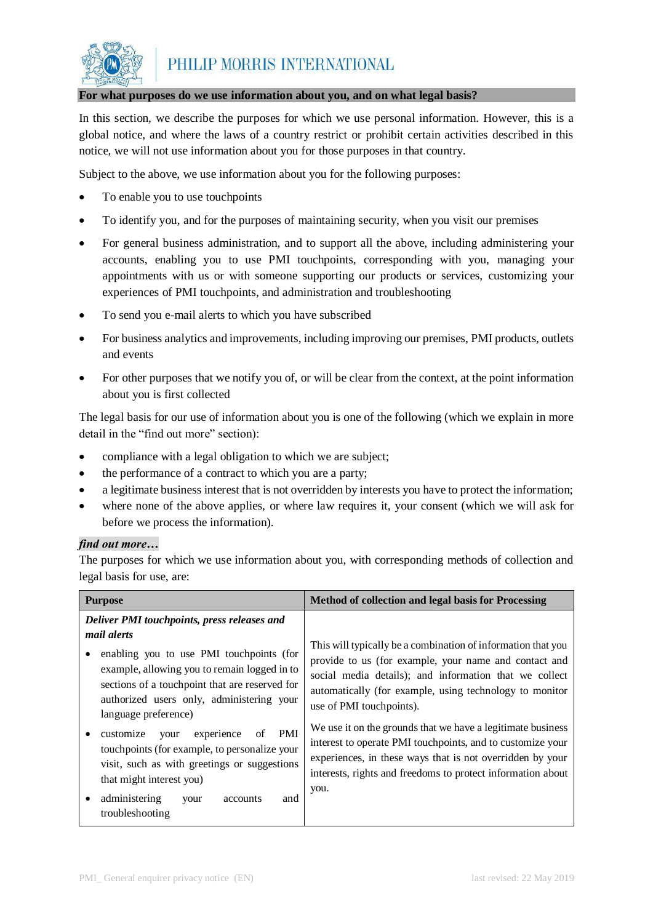

## **For what purposes do we use information about you, and on what legal basis?**

In this section, we describe the purposes for which we use personal information. However, this is a global notice, and where the laws of a country restrict or prohibit certain activities described in this notice, we will not use information about you for those purposes in that country.

Subject to the above, we use information about you for the following purposes:

- To enable you to use touchpoints
- To identify you, and for the purposes of maintaining security, when you visit our premises
- For general business administration, and to support all the above, including administering your accounts, enabling you to use PMI touchpoints, corresponding with you, managing your appointments with us or with someone supporting our products or services, customizing your experiences of PMI touchpoints, and administration and troubleshooting
- To send you e-mail alerts to which you have subscribed
- For business analytics and improvements, including improving our premises, PMI products, outlets and events
- For other purposes that we notify you of, or will be clear from the context, at the point information about you is first collected

The legal basis for our use of information about you is one of the following (which we explain in more detail in the "find out more" section):

- compliance with a legal obligation to which we are subject;
- the performance of a contract to which you are a party;
- a legitimate business interest that is not overridden by interests you have to protect the information;
- where none of the above applies, or where law requires it, your consent (which we will ask for before we process the information).

## *find out more…*

The purposes for which we use information about you, with corresponding methods of collection and legal basis for use, are:

| <b>Purpose</b>                                                                                                                                                                                                                        | Method of collection and legal basis for Processing                                                                                                                                                                                                                    |
|---------------------------------------------------------------------------------------------------------------------------------------------------------------------------------------------------------------------------------------|------------------------------------------------------------------------------------------------------------------------------------------------------------------------------------------------------------------------------------------------------------------------|
| Deliver PMI touchpoints, press releases and                                                                                                                                                                                           |                                                                                                                                                                                                                                                                        |
| <i>mail alerts</i><br>enabling you to use PMI touchpoints (for<br>example, allowing you to remain logged in to<br>sections of a touchpoint that are reserved for<br>authorized users only, administering your<br>language preference) | This will typically be a combination of information that you<br>provide to us (for example, your name and contact and<br>social media details); and information that we collect<br>automatically (for example, using technology to monitor<br>use of PMI touchpoints). |
| PMI<br>experience<br>of<br>customize<br>your<br>touchpoints (for example, to personalize your<br>visit, such as with greetings or suggestions<br>that might interest you)<br>administering<br>and<br>accounts<br>your                 | We use it on the grounds that we have a legitimate business<br>interest to operate PMI touchpoints, and to customize your<br>experiences, in these ways that is not overridden by your<br>interests, rights and freedoms to protect information about<br>you.          |
| troubleshooting                                                                                                                                                                                                                       |                                                                                                                                                                                                                                                                        |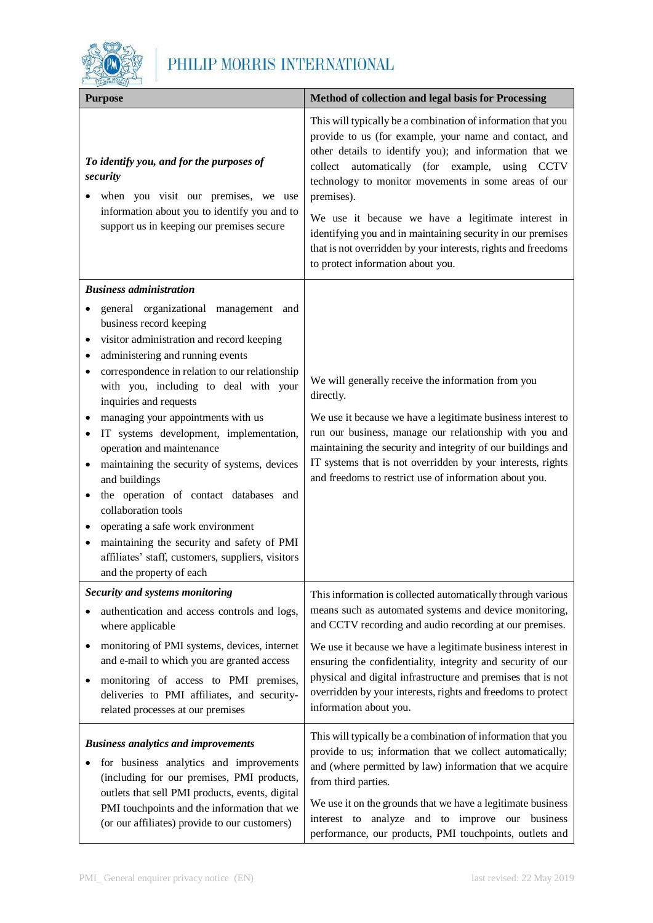

| <b>Purpose</b>                                                                                                                                                                                                                                                                                                                                                                                                                                                                                                                                                                                                                                                                                                                    | Method of collection and legal basis for Processing                                                                                                                                                                                                                                                                                                                                                                                                                                                                                            |
|-----------------------------------------------------------------------------------------------------------------------------------------------------------------------------------------------------------------------------------------------------------------------------------------------------------------------------------------------------------------------------------------------------------------------------------------------------------------------------------------------------------------------------------------------------------------------------------------------------------------------------------------------------------------------------------------------------------------------------------|------------------------------------------------------------------------------------------------------------------------------------------------------------------------------------------------------------------------------------------------------------------------------------------------------------------------------------------------------------------------------------------------------------------------------------------------------------------------------------------------------------------------------------------------|
| To identify you, and for the purposes of<br>security<br>when you visit our premises, we use<br>information about you to identify you and to<br>support us in keeping our premises secure                                                                                                                                                                                                                                                                                                                                                                                                                                                                                                                                          | This will typically be a combination of information that you<br>provide to us (for example, your name and contact, and<br>other details to identify you); and information that we<br>collect automatically (for example, using<br><b>CCTV</b><br>technology to monitor movements in some areas of our<br>premises).<br>We use it because we have a legitimate interest in<br>identifying you and in maintaining security in our premises<br>that is not overridden by your interests, rights and freedoms<br>to protect information about you. |
| <b>Business administration</b>                                                                                                                                                                                                                                                                                                                                                                                                                                                                                                                                                                                                                                                                                                    |                                                                                                                                                                                                                                                                                                                                                                                                                                                                                                                                                |
| general organizational management and<br>business record keeping<br>visitor administration and record keeping<br>$\bullet$<br>administering and running events<br>correspondence in relation to our relationship<br>with you, including to deal with your<br>inquiries and requests<br>managing your appointments with us<br>IT systems development, implementation,<br>operation and maintenance<br>maintaining the security of systems, devices<br>$\bullet$<br>and buildings<br>the operation of contact databases and<br>collaboration tools<br>operating a safe work environment<br>maintaining the security and safety of PMI<br>$\bullet$<br>affiliates' staff, customers, suppliers, visitors<br>and the property of each | We will generally receive the information from you<br>directly.<br>We use it because we have a legitimate business interest to<br>run our business, manage our relationship with you and<br>maintaining the security and integrity of our buildings and<br>IT systems that is not overridden by your interests, rights<br>and freedoms to restrict use of information about you.                                                                                                                                                               |
| Security and systems monitoring                                                                                                                                                                                                                                                                                                                                                                                                                                                                                                                                                                                                                                                                                                   | This information is collected automatically through various                                                                                                                                                                                                                                                                                                                                                                                                                                                                                    |
| authentication and access controls and logs,<br>where applicable                                                                                                                                                                                                                                                                                                                                                                                                                                                                                                                                                                                                                                                                  | means such as automated systems and device monitoring,<br>and CCTV recording and audio recording at our premises.                                                                                                                                                                                                                                                                                                                                                                                                                              |
| monitoring of PMI systems, devices, internet<br>$\bullet$<br>and e-mail to which you are granted access<br>monitoring of access to PMI premises,<br>٠<br>deliveries to PMI affiliates, and security-<br>related processes at our premises                                                                                                                                                                                                                                                                                                                                                                                                                                                                                         | We use it because we have a legitimate business interest in<br>ensuring the confidentiality, integrity and security of our<br>physical and digital infrastructure and premises that is not<br>overridden by your interests, rights and freedoms to protect<br>information about you.                                                                                                                                                                                                                                                           |
| <b>Business analytics and improvements</b><br>for business analytics and improvements<br>(including for our premises, PMI products,<br>outlets that sell PMI products, events, digital<br>PMI touchpoints and the information that we<br>(or our affiliates) provide to our customers)                                                                                                                                                                                                                                                                                                                                                                                                                                            | This will typically be a combination of information that you<br>provide to us; information that we collect automatically;<br>and (where permitted by law) information that we acquire<br>from third parties.<br>We use it on the grounds that we have a legitimate business<br>interest to analyze and to improve our business<br>performance, our products, PMI touchpoints, outlets and                                                                                                                                                      |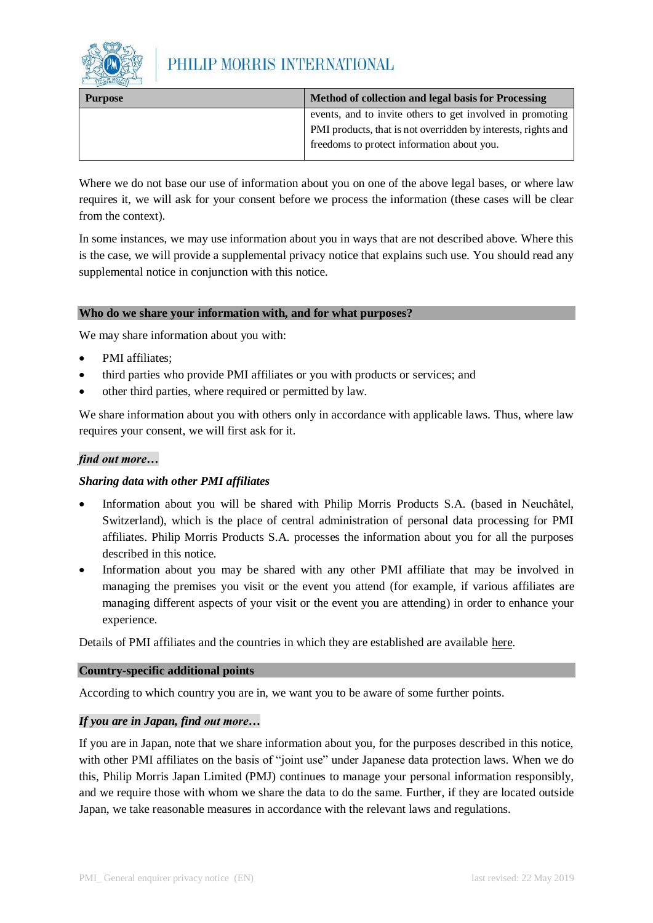

| <b>Purpose</b> | Method of collection and legal basis for Processing           |
|----------------|---------------------------------------------------------------|
|                | events, and to invite others to get involved in promoting     |
|                | PMI products, that is not overridden by interests, rights and |
|                | freedoms to protect information about you.                    |

Where we do not base our use of information about you on one of the above legal bases, or where law requires it, we will ask for your consent before we process the information (these cases will be clear from the context).

In some instances, we may use information about you in ways that are not described above. Where this is the case, we will provide a supplemental privacy notice that explains such use. You should read any supplemental notice in conjunction with this notice.

## **Who do we share your information with, and for what purposes?**

We may share information about you with:

- PMI affiliates;
- third parties who provide PMI affiliates or you with products or services; and
- other third parties, where required or permitted by law.

We share information about you with others only in accordance with applicable laws. Thus, where law requires your consent, we will first ask for it.

## *find out more…*

## *Sharing data with other PMI affiliates*

- Information about you will be shared with Philip Morris Products S.A. (based in Neuchâtel, Switzerland), which is the place of central administration of personal data processing for PMI affiliates. Philip Morris Products S.A. processes the information about you for all the purposes described in this notice.
- Information about you may be shared with any other PMI affiliate that may be involved in managing the premises you visit or the event you attend (for example, if various affiliates are managing different aspects of your visit or the event you are attending) in order to enhance your experience.

Details of PMI affiliates and the countries in which they are established are available here.

## **Country-specific additional points**

According to which country you are in, we want you to be aware of some further points.

## *If you are in Japan, find out more…*

If you are in Japan, note that we share information about you, for the purposes described in this notice, with other PMI affiliates on the basis of "joint use" under Japanese data protection laws. When we do this, Philip Morris Japan Limited (PMJ) continues to manage your personal information responsibly, and we require those with whom we share the data to do the same. Further, if they are located outside Japan, we take reasonable measures in accordance with the relevant laws and regulations.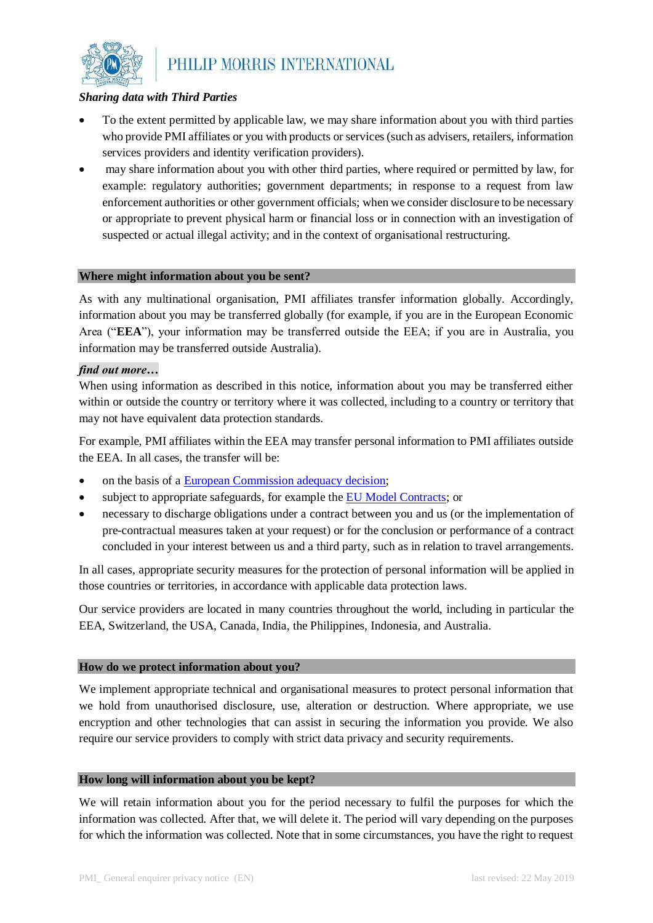

## *Sharing data with Third Parties*

- To the extent permitted by applicable law, we may share information about you with third parties who provide PMI affiliates or you with products or services (such as advisers, retailers, information services providers and identity verification providers).
- may share information about you with other third parties, where required or permitted by law, for example: regulatory authorities; government departments; in response to a request from law enforcement authorities or other government officials; when we consider disclosure to be necessary or appropriate to prevent physical harm or financial loss or in connection with an investigation of suspected or actual illegal activity; and in the context of organisational restructuring.

## **Where might information about you be sent?**

As with any multinational organisation, PMI affiliates transfer information globally. Accordingly, information about you may be transferred globally (for example, if you are in the European Economic Area ("**EEA**"), your information may be transferred outside the EEA; if you are in Australia, you information may be transferred outside Australia).

## *find out more…*

When using information as described in this notice, information about you may be transferred either within or outside the country or territory where it was collected, including to a country or territory that may not have equivalent data protection standards.

For example, PMI affiliates within the EEA may transfer personal information to PMI affiliates outside the EEA. In all cases, the transfer will be:

- on the basis of a [European Commission adequacy decision;](https://ec.europa.eu/info/law/law-topic/data-protection/data-transfers-outside-eu/adequacy-protection-personal-data-non-eu-countries_en)
- subject to appropriate safeguards, for example th[e EU Model Contracts;](https://ec.europa.eu/info/law/law-topic/data-protection/data-transfers-outside-eu/model-contracts-transfer-personal-data-third-countries_en) or
- necessary to discharge obligations under a contract between you and us (or the implementation of pre-contractual measures taken at your request) or for the conclusion or performance of a contract concluded in your interest between us and a third party, such as in relation to travel arrangements.

In all cases, appropriate security measures for the protection of personal information will be applied in those countries or territories, in accordance with applicable data protection laws.

Our service providers are located in many countries throughout the world, including in particular the EEA, Switzerland, the USA, Canada, India, the Philippines, Indonesia, and Australia.

## **How do we protect information about you?**

We implement appropriate technical and organisational measures to protect personal information that we hold from unauthorised disclosure, use, alteration or destruction. Where appropriate, we use encryption and other technologies that can assist in securing the information you provide. We also require our service providers to comply with strict data privacy and security requirements.

#### **How long will information about you be kept?**

We will retain information about you for the period necessary to fulfil the purposes for which the information was collected. After that, we will delete it. The period will vary depending on the purposes for which the information was collected. Note that in some circumstances, you have the right to request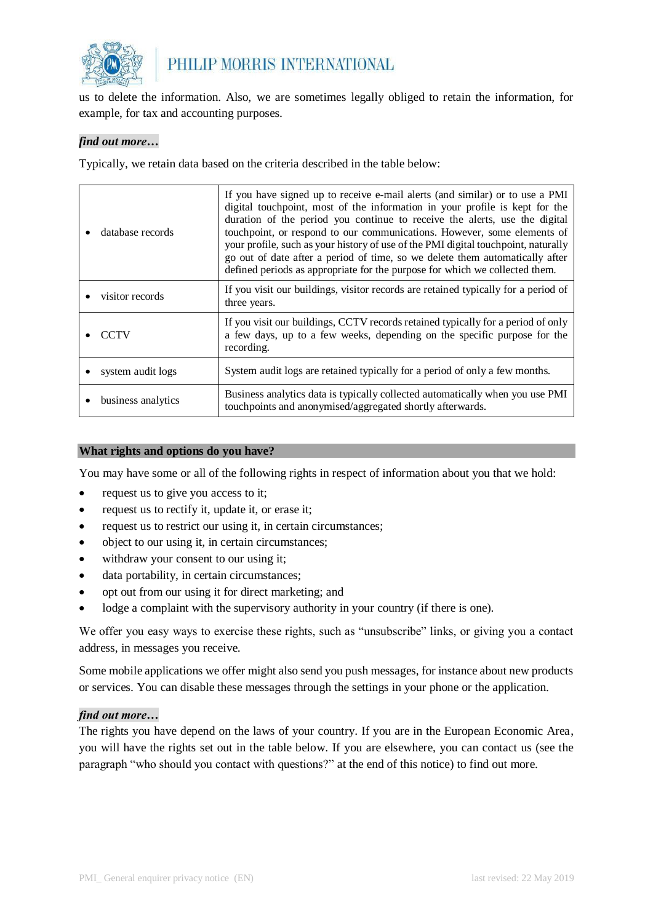

us to delete the information. Also, we are sometimes legally obliged to retain the information, for example, for tax and accounting purposes.

## *find out more…*

Typically, we retain data based on the criteria described in the table below:

| database records   | If you have signed up to receive e-mail alerts (and similar) or to use a PMI<br>digital touchpoint, most of the information in your profile is kept for the<br>duration of the period you continue to receive the alerts, use the digital<br>touchpoint, or respond to our communications. However, some elements of<br>your profile, such as your history of use of the PMI digital touchpoint, naturally<br>go out of date after a period of time, so we delete them automatically after<br>defined periods as appropriate for the purpose for which we collected them. |
|--------------------|---------------------------------------------------------------------------------------------------------------------------------------------------------------------------------------------------------------------------------------------------------------------------------------------------------------------------------------------------------------------------------------------------------------------------------------------------------------------------------------------------------------------------------------------------------------------------|
| visitor records    | If you visit our buildings, visitor records are retained typically for a period of<br>three years.                                                                                                                                                                                                                                                                                                                                                                                                                                                                        |
| <b>CCTV</b>        | If you visit our buildings, CCTV records retained typically for a period of only<br>a few days, up to a few weeks, depending on the specific purpose for the<br>recording.                                                                                                                                                                                                                                                                                                                                                                                                |
| system audit logs  | System audit logs are retained typically for a period of only a few months.                                                                                                                                                                                                                                                                                                                                                                                                                                                                                               |
| business analytics | Business analytics data is typically collected automatically when you use PMI<br>touchpoints and anonymised/aggregated shortly afterwards.                                                                                                                                                                                                                                                                                                                                                                                                                                |

#### **What rights and options do you have?**

You may have some or all of the following rights in respect of information about you that we hold:

- request us to give you access to it;
- request us to rectify it, update it, or erase it;
- request us to restrict our using it, in certain circumstances;
- object to our using it, in certain circumstances;
- withdraw your consent to our using it;
- data portability, in certain circumstances;
- opt out from our using it for direct marketing; and
- lodge a complaint with the supervisory authority in your country (if there is one).

We offer you easy ways to exercise these rights, such as "unsubscribe" links, or giving you a contact address, in messages you receive.

Some mobile applications we offer might also send you push messages, for instance about new products or services. You can disable these messages through the settings in your phone or the application.

## *find out more…*

The rights you have depend on the laws of your country. If you are in the European Economic Area, you will have the rights set out in the table below. If you are elsewhere, you can contact us (see the paragraph "who should you contact with questions?" at the end of this notice) to find out more.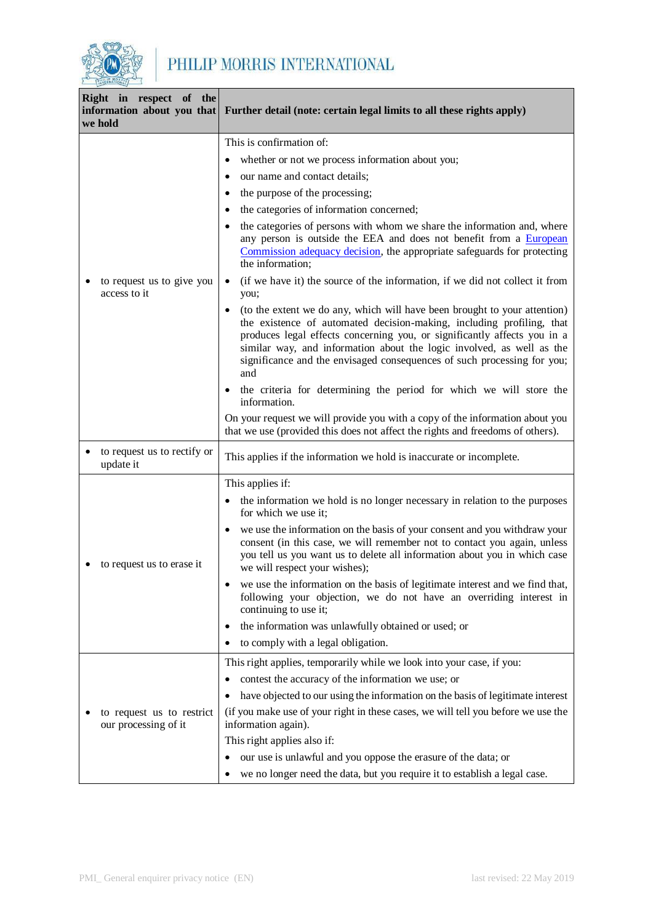

| Right in respect of the<br>information about you that<br>we hold | Further detail (note: certain legal limits to all these rights apply)                                                                                                                                                                                                                                                                                                                                  |
|------------------------------------------------------------------|--------------------------------------------------------------------------------------------------------------------------------------------------------------------------------------------------------------------------------------------------------------------------------------------------------------------------------------------------------------------------------------------------------|
|                                                                  | This is confirmation of:                                                                                                                                                                                                                                                                                                                                                                               |
|                                                                  | whether or not we process information about you;<br>٠                                                                                                                                                                                                                                                                                                                                                  |
|                                                                  | our name and contact details;                                                                                                                                                                                                                                                                                                                                                                          |
|                                                                  | the purpose of the processing;                                                                                                                                                                                                                                                                                                                                                                         |
|                                                                  | the categories of information concerned;                                                                                                                                                                                                                                                                                                                                                               |
|                                                                  | the categories of persons with whom we share the information and, where<br>any person is outside the EEA and does not benefit from a European<br>Commission adequacy decision, the appropriate safeguards for protecting<br>the information;                                                                                                                                                           |
| to request us to give you<br>access to it                        | (if we have it) the source of the information, if we did not collect it from<br>$\bullet$<br>you;                                                                                                                                                                                                                                                                                                      |
|                                                                  | (to the extent we do any, which will have been brought to your attention)<br>$\bullet$<br>the existence of automated decision-making, including profiling, that<br>produces legal effects concerning you, or significantly affects you in a<br>similar way, and information about the logic involved, as well as the<br>significance and the envisaged consequences of such processing for you;<br>and |
|                                                                  | the criteria for determining the period for which we will store the<br>information.                                                                                                                                                                                                                                                                                                                    |
|                                                                  | On your request we will provide you with a copy of the information about you<br>that we use (provided this does not affect the rights and freedoms of others).                                                                                                                                                                                                                                         |
| to request us to rectify or<br>update it                         | This applies if the information we hold is inaccurate or incomplete.                                                                                                                                                                                                                                                                                                                                   |
|                                                                  | This applies if:                                                                                                                                                                                                                                                                                                                                                                                       |
|                                                                  | the information we hold is no longer necessary in relation to the purposes<br>$\bullet$<br>for which we use it;                                                                                                                                                                                                                                                                                        |
| to request us to erase it                                        | we use the information on the basis of your consent and you withdraw your<br>$\bullet$<br>consent (in this case, we will remember not to contact you again, unless<br>you tell us you want us to delete all information about you in which case<br>we will respect your wishes);                                                                                                                       |
|                                                                  | we use the information on the basis of legitimate interest and we find that,<br>following your objection, we do not have an overriding interest in<br>continuing to use it;                                                                                                                                                                                                                            |
|                                                                  | the information was unlawfully obtained or used; or<br>٠                                                                                                                                                                                                                                                                                                                                               |
|                                                                  | to comply with a legal obligation.                                                                                                                                                                                                                                                                                                                                                                     |
|                                                                  | This right applies, temporarily while we look into your case, if you:                                                                                                                                                                                                                                                                                                                                  |
|                                                                  | contest the accuracy of the information we use; or<br>٠                                                                                                                                                                                                                                                                                                                                                |
|                                                                  | have objected to our using the information on the basis of legitimate interest                                                                                                                                                                                                                                                                                                                         |
| to request us to restrict<br>our processing of it                | (if you make use of your right in these cases, we will tell you before we use the<br>information again).                                                                                                                                                                                                                                                                                               |
|                                                                  | This right applies also if:                                                                                                                                                                                                                                                                                                                                                                            |
|                                                                  | our use is unlawful and you oppose the erasure of the data; or<br>٠                                                                                                                                                                                                                                                                                                                                    |
|                                                                  | we no longer need the data, but you require it to establish a legal case.                                                                                                                                                                                                                                                                                                                              |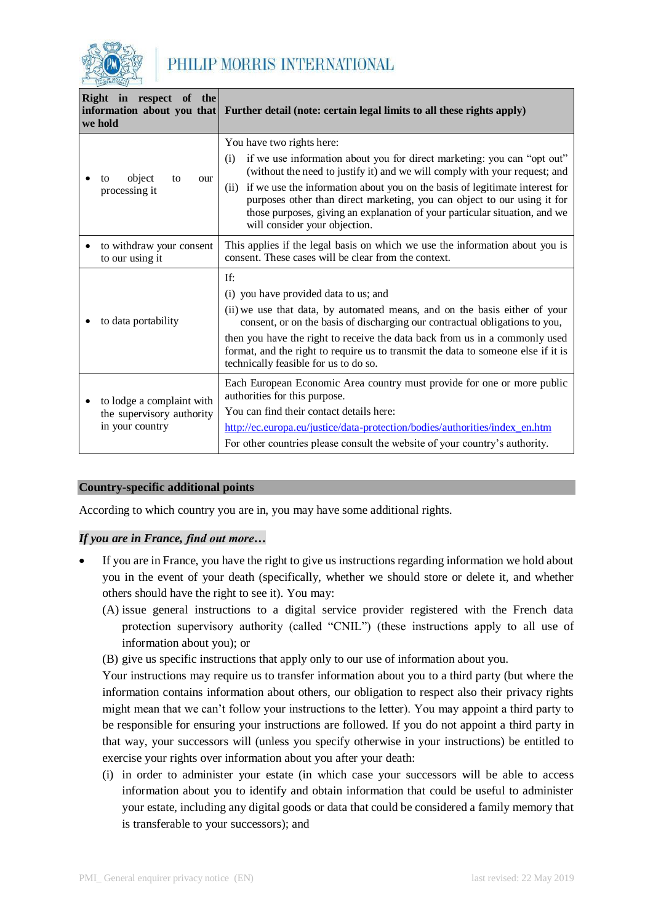

| Right in respect of the<br>we hold                                        | information about you that Further detail (note: certain legal limits to all these rights apply)                                                                                                                                                                                                                                                                                                                                                                         |
|---------------------------------------------------------------------------|--------------------------------------------------------------------------------------------------------------------------------------------------------------------------------------------------------------------------------------------------------------------------------------------------------------------------------------------------------------------------------------------------------------------------------------------------------------------------|
| object<br>to<br>our<br>tο<br>processing it                                | You have two rights here:<br>if we use information about you for direct marketing: you can "opt out"<br>(i)<br>(without the need to justify it) and we will comply with your request; and<br>(ii) if we use the information about you on the basis of legitimate interest for<br>purposes other than direct marketing, you can object to our using it for<br>those purposes, giving an explanation of your particular situation, and we<br>will consider your objection. |
| to withdraw your consent<br>to our using it                               | This applies if the legal basis on which we use the information about you is<br>consent. These cases will be clear from the context.                                                                                                                                                                                                                                                                                                                                     |
| to data portability                                                       | If:<br>(i) you have provided data to us; and<br>(ii) we use that data, by automated means, and on the basis either of your<br>consent, or on the basis of discharging our contractual obligations to you,<br>then you have the right to receive the data back from us in a commonly used<br>format, and the right to require us to transmit the data to someone else if it is<br>technically feasible for us to do so.                                                   |
| to lodge a complaint with<br>the supervisory authority<br>in your country | Each European Economic Area country must provide for one or more public<br>authorities for this purpose.<br>You can find their contact details here:<br>http://ec.europa.eu/justice/data-protection/bodies/authorities/index_en.htm<br>For other countries please consult the website of your country's authority.                                                                                                                                                       |

## **Country-specific additional points**

According to which country you are in, you may have some additional rights.

## *If you are in France, find out more…*

- If you are in France, you have the right to give us instructions regarding information we hold about you in the event of your death (specifically, whether we should store or delete it, and whether others should have the right to see it). You may:
	- (A) issue general instructions to a digital service provider registered with the French data protection supervisory authority (called "CNIL") (these instructions apply to all use of information about you); or
	- (B) give us specific instructions that apply only to our use of information about you.

Your instructions may require us to transfer information about you to a third party (but where the information contains information about others, our obligation to respect also their privacy rights might mean that we can't follow your instructions to the letter). You may appoint a third party to be responsible for ensuring your instructions are followed. If you do not appoint a third party in that way, your successors will (unless you specify otherwise in your instructions) be entitled to exercise your rights over information about you after your death:

(i) in order to administer your estate (in which case your successors will be able to access information about you to identify and obtain information that could be useful to administer your estate, including any digital goods or data that could be considered a family memory that is transferable to your successors); and